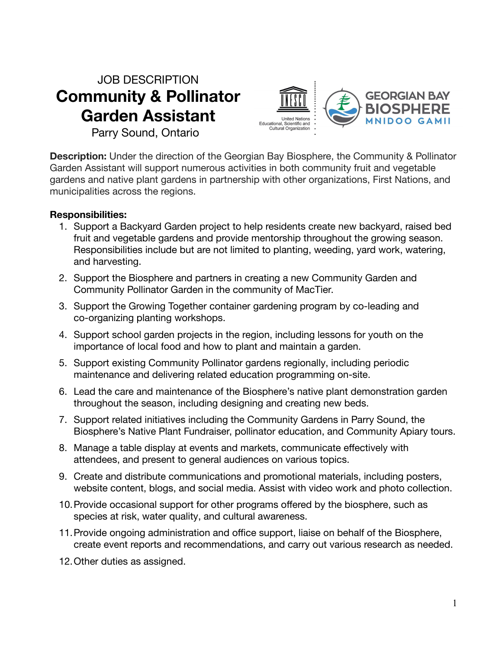## JOB DESCRIPTION **Community & Pollinator Garden Assistant**



Parry Sound, Ontario

**Description:** Under the direction of the Georgian Bay Biosphere, the Community & Pollinator Garden Assistant will support numerous activities in both community fruit and vegetable gardens and native plant gardens in partnership with other organizations, First Nations, and municipalities across the regions.

## **Responsibilities:**

- 1. Support a Backyard Garden project to help residents create new backyard, raised bed fruit and vegetable gardens and provide mentorship throughout the growing season. Responsibilities include but are not limited to planting, weeding, yard work, watering, and harvesting.
- 2. Support the Biosphere and partners in creating a new Community Garden and Community Pollinator Garden in the community of MacTier.
- 3. Support the Growing Together container gardening program by co-leading and co-organizing planting workshops.
- 4. Support school garden projects in the region, including lessons for youth on the importance of local food and how to plant and maintain a garden.
- 5. Support existing Community Pollinator gardens regionally, including periodic maintenance and delivering related education programming on-site.
- 6. Lead the care and maintenance of the Biosphere's native plant demonstration garden throughout the season, including designing and creating new beds.
- 7. Support related initiatives including the Community Gardens in Parry Sound, the Biosphere's Native Plant Fundraiser, pollinator education, and Community Apiary tours.
- 8. Manage a table display at events and markets, communicate effectively with attendees, and present to general audiences on various topics.
- 9. Create and distribute communications and promotional materials, including posters, website content, blogs, and social media. Assist with video work and photo collection.
- 10.Provide occasional support for other programs offered by the biosphere, such as species at risk, water quality, and cultural awareness.
- 11.Provide ongoing administration and office support, liaise on behalf of the Biosphere, create event reports and recommendations, and carry out various research as needed.
- 12.Other duties as assigned.